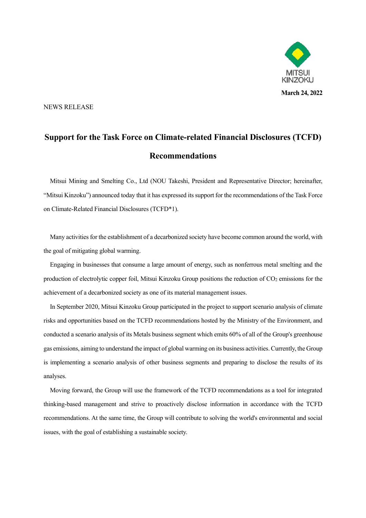

NEWS RELEASE

## **Support for the Task Force on Climate-related Financial Disclosures (TCFD) Recommendations**

Mitsui Mining and Smelting Co., Ltd (NOU Takeshi, President and Representative Director; hereinafter, "Mitsui Kinzoku") announced today that it has expressed its support for the recommendations of the Task Force on Climate-Related Financial Disclosures (TCFD\*1).

Many activities for the establishment of a decarbonized society have become common around the world, with the goal of mitigating global warming.

Engaging in businesses that consume a large amount of energy, such as nonferrous metal smelting and the production of electrolytic copper foil, Mitsui Kinzoku Group positions the reduction of CO<sub>2</sub> emissions for the achievement of a decarbonized society as one of its material management issues.

In September 2020, Mitsui Kinzoku Group participated in the project to support scenario analysis of climate risks and opportunities based on the TCFD recommendations hosted by the Ministry of the Environment, and conducted a scenario analysis of its Metals business segment which emits 60% of all of the Group's greenhouse gas emissions, aiming to understand the impact of global warming on its business activities. Currently, the Group is implementing a scenario analysis of other business segments and preparing to disclose the results of its analyses.

Moving forward, the Group will use the framework of the TCFD recommendations as a tool for integrated thinking-based management and strive to proactively disclose information in accordance with the TCFD recommendations. At the same time, the Group will contribute to solving the world's environmental and social issues, with the goal of establishing a sustainable society.